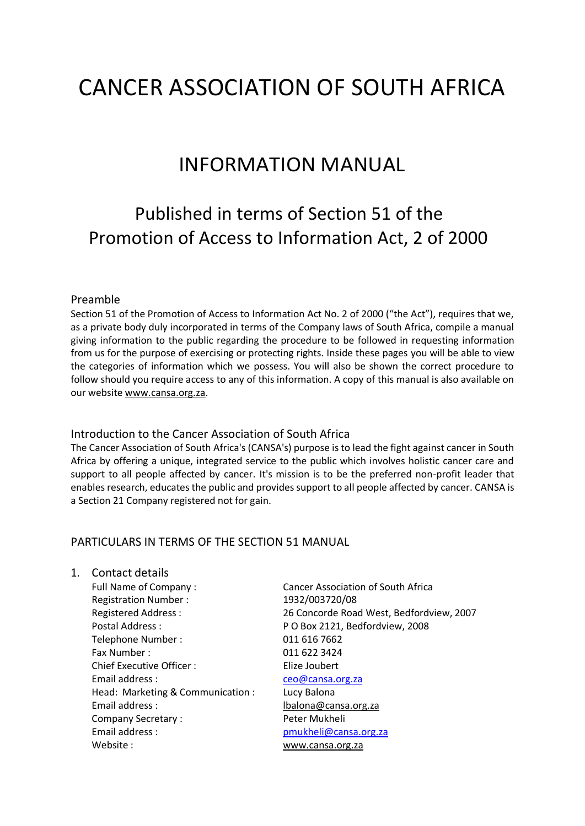# CANCER ASSOCIATION OF SOUTH AFRICA

### INFORMATION MANUAL

## Published in terms of Section 51 of the Promotion of Access to Information Act, 2 of 2000

#### Preamble

Section 51 of the Promotion of Access to Information Act No. 2 of 2000 ("the Act"), requires that we, as a private body duly incorporated in terms of the Company laws of South Africa, compile a manual giving information to the public regarding the procedure to be followed in requesting information from us for the purpose of exercising or protecting rights. Inside these pages you will be able to view the categories of information which we possess. You will also be shown the correct procedure to follow should you require access to any of this information. A copy of this manual is also available on our website [www.cansa.org.za.](http://www.cansa.org.za/)

#### Introduction to the Cancer Association of South Africa

The Cancer Association of South Africa's (CANSA's) purpose is to lead the fight against cancer in South Africa by offering a unique, integrated service to the public which involves holistic cancer care and support to all people affected by cancer. It's mission is to be the preferred non-profit leader that enables research, educates the public and provides support to all people affected by cancer. CANSA is a Section 21 Company registered not for gain.

#### PARTICULARS IN TERMS OF THE SECTION 51 MANUAL

#### 1. Contact details

Full Name of Company : Cancer Association of South Africa Registration Number : 1932/003720/08 Postal Address : P O Box 2121, Bedfordview, 2008 Telephone Number : 011 616 7662 Fax Number : 011 622 3424 Chief Executive Officer : The Elize Joubert Email address : [ceo@cansa.org.za](mailto:ceo@cansa.org.za) Head: Marketing & Communication : Lucy Balona Email address : [lbalona@cansa.org.za](mailto:lbalona@cansa.org.za) Company Secretary : The Peter Mukheli Email address : [pmukheli@cansa.org.za](mailto:pmukheli@cansa.org.za) Website : [www.cansa.org.za](http://www.cansa.org.za/)

Registered Address : 26 Concorde Road West, Bedfordview, 2007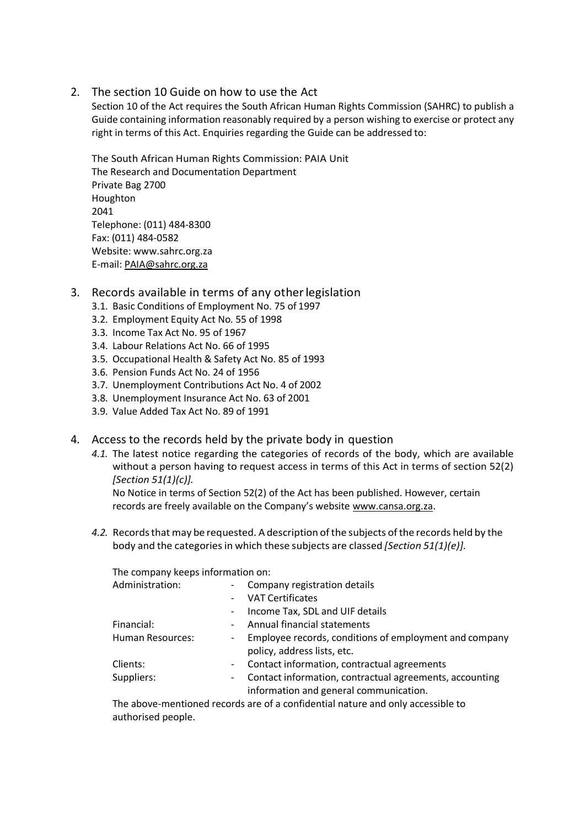#### 2. The section 10 Guide on how to use the Act

Section 10 of the Act requires the South African Human Rights Commission (SAHRC) to publish a Guide containing information reasonably required by a person wishing to exercise or protect any right in terms of this Act. Enquiries regarding the Guide can be addressed to:

The South African Human Rights Commission: PAIA Unit The Research and Documentation Department Private Bag 2700 Houghton 2041 Telephone: (011) 484-8300 Fax: (011) 484-0582 Website: [www.sahrc.org.za](http://www.sahrc.org.za/) E-mail[: PAIA@sahrc.org.za](mailto:PAIA@sahrc.org.za)

#### 3. Records available in terms of any otherlegislation

- 3.1. Basic Conditions of Employment No. 75 of 1997
- 3.2. Employment Equity Act No. 55 of 1998
- 3.3. Income Tax Act No. 95 of 1967
- 3.4. Labour Relations Act No. 66 of 1995
- 3.5. Occupational Health & Safety Act No. 85 of 1993
- 3.6. Pension Funds Act No. 24 of 1956
- 3.7. Unemployment Contributions Act No. 4 of 2002
- 3.8. Unemployment Insurance Act No. 63 of 2001
- 3.9. Value Added Tax Act No. 89 of 1991
- 4. Access to the records held by the private body in question
	- *4.1.* The latest notice regarding the categories of records of the body, which are available without a person having to request access in terms of this Act in terms of section 52(2) *[Section 51(1)(c)].*

No Notice in terms of Section 52(2) of the Act has been published. However, certain records are freely available on the Company's website [www.cansa.org.za.](http://www.cansa.org.za/)

4.2. Records that may be requested. A description of the subjects of the records held by the body and the categoriesin which these subjects are classed *[Section 51(1)(e)].*

The company keeps information on:

| Administration:         |                          | Company registration details                                                                      |
|-------------------------|--------------------------|---------------------------------------------------------------------------------------------------|
|                         | $\overline{\phantom{a}}$ | <b>VAT Certificates</b>                                                                           |
|                         | $\overline{\phantom{a}}$ | Income Tax, SDL and UIF details                                                                   |
| Financial:              | $\sim$                   | Annual financial statements                                                                       |
| <b>Human Resources:</b> |                          | - Employee records, conditions of employment and company                                          |
|                         |                          | policy, address lists, etc.                                                                       |
| Clients:                | $\sim$                   | Contact information, contractual agreements                                                       |
| Suppliers:              | -                        | Contact information, contractual agreements, accounting<br>information and general communication. |
|                         |                          |                                                                                                   |

The above-mentioned records are of a confidential nature and only accessible to authorised people.